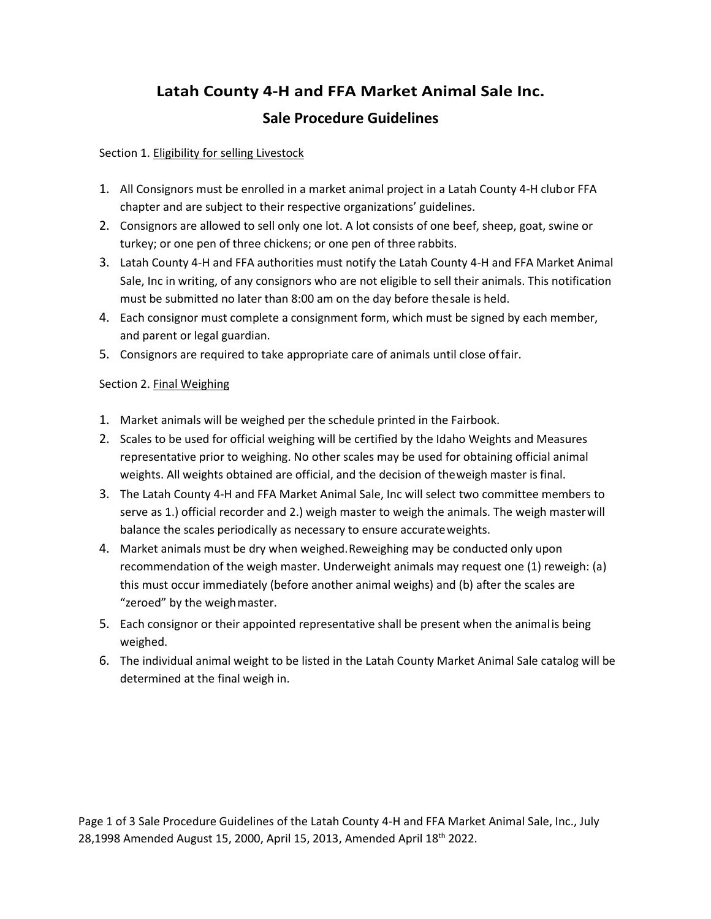# **Latah County 4-H and FFA Market Animal Sale Inc. Sale Procedure Guidelines**

### Section 1. Eligibility for selling Livestock

- 1. All Consignors must be enrolled in a market animal project in a Latah County 4-H clubor FFA chapter and are subject to their respective organizations' guidelines.
- 2. Consignors are allowed to sell only one lot. A lot consists of one beef, sheep, goat, swine or turkey; or one pen of three chickens; or one pen of three rabbits.
- 3. Latah County 4-H and FFA authorities must notify the Latah County 4-H and FFA Market Animal Sale, Inc in writing, of any consignors who are not eligible to sell their animals. This notification must be submitted no later than 8:00 am on the day before thesale is held.
- 4. Each consignor must complete a consignment form, which must be signed by each member, and parent or legal guardian.
- 5. Consignors are required to take appropriate care of animals until close offair.

### Section 2. Final Weighing

- 1. Market animals will be weighed per the schedule printed in the Fairbook.
- 2. Scales to be used for official weighing will be certified by the Idaho Weights and Measures representative prior to weighing. No other scales may be used for obtaining official animal weights. All weights obtained are official, and the decision of theweigh master isfinal.
- 3. The Latah County 4-H and FFA Market Animal Sale, Inc will select two committee members to serve as 1.) official recorder and 2.) weigh master to weigh the animals. The weigh masterwill balance the scales periodically as necessary to ensure accurateweights.
- 4. Market animals must be dry when weighed.Reweighing may be conducted only upon recommendation of the weigh master. Underweight animals may request one (1) reweigh: (a) this must occur immediately (before another animal weighs) and (b) after the scales are "zeroed" by the weighmaster.
- 5. Each consignor or their appointed representative shall be present when the animalis being weighed.
- 6. The individual animal weight to be listed in the Latah County Market Animal Sale catalog will be determined at the final weigh in.

Page 1 of 3 Sale Procedure Guidelines of the Latah County 4-H and FFA Market Animal Sale, Inc., July 28,1998 Amended August 15, 2000, April 15, 2013, Amended April 18<sup>th</sup> 2022.